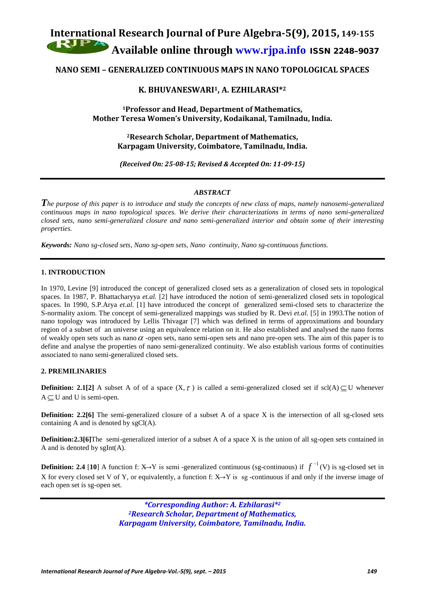# **International Research Journal of Pure Algebra-5(9), 2015, 149-155 Available online through [www.rjpa.info](http://www.rjpa.info/)** ISSN 2248–9037

## **NANO SEMI – GENERALIZED CONTINUOUS MAPS IN NANO TOPOLOGICAL SPACES**

## **K. BHUVANESWARI1, A. EZHILARASI\*2**

**1Professor and Head, Department of Mathematics, Mother Teresa Women's University, Kodaikanal, Tamilnadu, India.**

> **2Research Scholar, Department of Mathematics, Karpagam University, Coimbatore, Tamilnadu, India.**

*(Received On: 25-08-15; Revised & Accepted On: 11-09-15)*

## *ABSTRACT*

*The purpose of this paper is to introduce and study the concepts of new class of maps, namely nanosemi-generalized continuous maps in nano topological spaces. We derive their characterizations in terms of nano semi-generalized closed sets, nano semi-generalized closure and nano semi-generalized interior and obtain some of their interesting properties.*

*Keywords: Nano sg-closed sets, Nano sg-open sets, Nano continuity, Nano sg-continuous functions.*

## **1. INTRODUCTION**

In 1970, Levine [9] introduced the concept of generalized closed sets as a generalization of closed sets in topological spaces. In 1987, P. Bhattacharyya *et.al.* [2] have introduced the notion of semi-generalized closed sets in topological spaces. In 1990, S.P.Arya *et.al.* [1] have introduced the concept of generalized semi-closed sets to characterize the S-normality axiom. The concept of semi-generalized mappings was studied by R. Devi *et.al.* [5] in 1993.The notion of nano topology was introduced by Lellis Thivagar [7] which was defined in terms of approximations and boundary region of a subset of an universe using an equivalence relation on it. He also established and analysed the nano forms of weakly open sets such as nano  $\alpha$  -open sets, nano semi-open sets and nano pre-open sets. The aim of this paper is to define and analyse the properties of nano semi-generalized continuity. We also establish various forms of continuities associated to nano semi-generalized closed sets.

## **2. PREMILINARIES**

**Definition: 2.1[2]** A subset A of of a space  $(X, \tau)$  is called a semi-generalized closed set if scl(A) ⊂ U whenever  $A \subset U$  and U is semi-open.

**Definition: 2.2[6]** The semi-generalized closure of a subset A of a space X is the intersection of all sg-closed sets containing A and is denoted by sgCl(A).

**Definition:2.3[6]**The semi-generalized interior of a subset A of a space X is the union of all sg-open sets contained in A and is denoted by  $sgInt(A)$ .

**Definition: 2.4** [10] A function f: X→Y is semi-generalized continuous (sg-continuous) if  $f^{-1}(V)$  is sg-closed set in X for every closed set V of Y, or equivalently, a function f:  $X \rightarrow Y$  is sg -continuous if and only if the inverse image of each open set is sg-open set.

> *\*Corresponding Author: A. Ezhilarasi\*2 2Research Scholar, Department of Mathematics, Karpagam University, Coimbatore, Tamilnadu, India.*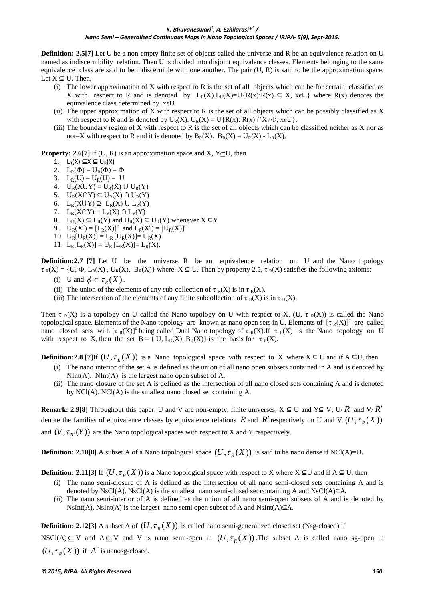**Definition: 2.5[7]** Let U be a non-empty finite set of objects called the universe and R be an equivalence relation on U named as indiscernibility relation. Then U is divided into disjoint equivalence classes. Elements belonging to the same equivalence class are said to be indiscernible with one another. The pair  $(U, R)$  is said to be the approximation space. Let  $X \subseteq U$ . Then,

- (i) The lower approximation of X with respect to R is the set of all objects which can be for certain classified as X with respect to R and is denoted by  $L_R(X) \cdot L_R(X) = U_R(X) \cdot R(X) \subseteq X$ ,  $x \in U_R(X)$  where R(x) denotes the equivalence class determined by xєU.
- (ii) The upper approximation of  $X$  with respect to  $R$  is the set of all objects which can be possibly classified as  $X$ with respect to R and is denoted by  $U_R(X)$ .  $U_R(X) = U\{R(x): R(x) \cap X \neq \Phi, x \in U\}$ .
- (iii) The boundary region of X with respect to R is the set of all objects which can be classified neither as X nor as not–X with respect to R and it is denoted by  $B_R(X)$ .  $B_R(X) = U_R(X) - L_R(X)$ .

**Property: 2.6[7]** If (U, R) is an approximation space and X,  $Y \subseteq U$ , then

- 1.  $L_R(X) \subseteq X \subseteq U_R(X)$
- 2.  $L_{\mathbb{R}}(\Phi) = U_{\mathbb{R}}(\Phi) = \Phi$
- 3.  $L_R(U) = U_R(U) = U$
- 4.  $U_R(XUY) = U_R(X) U_R(Y)$
- 5.  $U_R(X \cap Y) \subseteq U_R(X) \cap U_R(Y)$
- 6.  $L_R(XUY) \supseteq L_R(X) \cup L_R(Y)$
- 7.  $L_R(X \cap Y) = L_R(X) \cap L_R(Y)$
- 8.  $L_R(X) \subseteq L_R(Y)$  and  $U_R(X) \subseteq U_R(Y)$  whenever  $X \subseteq Y$
- 9.  $U_R(X^c) = [L_R(X)]^c$  and  $L_R(X^c) = [U_R(X)]^c$
- 10.  $U_R[U_R(X)] = L_R[U_R(X)] = U_R(X)$
- 11.  $L_R[L_R(X)] = U_R[L_R(X)] = L_R(X)$ .

**Definition:2.7 [7]** Let U be the universe, R be an equivalence relation on U and the Nano topology  $\tau_R(X) = \{U, \Phi, L_R(X), U_R(X), B_R(X)\}\$  where  $X \subseteq U$ . Then by property 2.5,  $\tau_R(X)$  satisfies the following axioms:

- (i) U and  $\phi \in \tau_{p}(X)$ .
- (ii) The union of the elements of any sub-collection of  $\tau_R(X)$  is in  $\tau_R(X)$ .
- (iii) The intersection of the elements of any finite subcollection of  $\tau_R(X)$  is in  $\tau_R(X)$ .

Then  $\tau_R(X)$  is a topology on U called the Nano topology on U with respect to X. (U,  $\tau_R(X)$ ) is called the Nano topological space. Elements of the Nano topology are known as nano open sets in U. Elements of  $[\tau_R(X)]^c$  are called nano closed sets with  $[\tau_R(X)]^c$  being called Dual Nano topology of  $\tau_R(X)$ .If  $\tau_R(X)$  is the Nano topology on U with respect to X, then the set  $B = \{ U, L_R(X), B_R(X) \}$  is the basis for  $\tau_R(X)$ .

**Definition:2.8** [7]If  $(U, \tau_R(X))$  is a Nano topological space with respect to X where  $X \subseteq U$  and if A  $\subseteq U$ , then

- (i) The nano interior of the set A is defined as the union of all nano open subsets contained in A and is denoted by  $NInt(A)$ .  $NInt(A)$  is the largest nano open subset of A.
- (ii) The nano closure of the set A is defined as the intersection of all nano closed sets containing A and is denoted by NCl(A). NCl(A) is the smallest nano closed set containing A.

**Remark: 2.9[8]** Throughout this paper, U and V are non-empty, finite universes;  $X \subseteq U$  and  $Y \subseteq V$ ; U/ *R* and V/ *R'* denote the families of equivalence classes by equivalence relations *R* and *R'* respectively on U and V. $(U, \tau_{R}(X))$ and  $(V, \tau_{R'}(Y))$  are the Nano topological spaces with respect to X and Y respectively.

**Definition:** 2.10[8] A subset A of a Nano topological space  $(U, \tau_R(X))$  is said to be nano dense if NCl(A)=U.

**Definition: 2.11[3]** If  $(U, \tau_R(X))$  is a Nano topological space with respect to X where X ⊆U and if A ⊆ U, then

- (i) The nano semi-closure of A is defined as the intersection of all nano semi-closed sets containing A and is denoted by NsCl(A). NsCl(A) is the smallest nano semi-closed set containing A and NsCl(A) $\subseteq$ A.
- (ii) The nano semi-interior of A is defined as the union of all nano semi-open subsets of A and is denoted by  $NsInt(A)$ . NsInt(A) is the largest nano semi open subset of A and NsInt(A) $\subseteq$ A.

**Definition: 2.12[3]** A subset A of  $(U, \tau_{R}(X))$  is called nano semi-generalized closed set (Nsg-closed) if

NSCl(A)  $\subseteq$  V and A  $\subseteq$  V and V is nano semi-open in  $(U, \tau_R(X))$ . The subset A is called nano sg-open in  $(U, \tau_{R}(X))$  if  $A^{c}$  is nanosg-closed.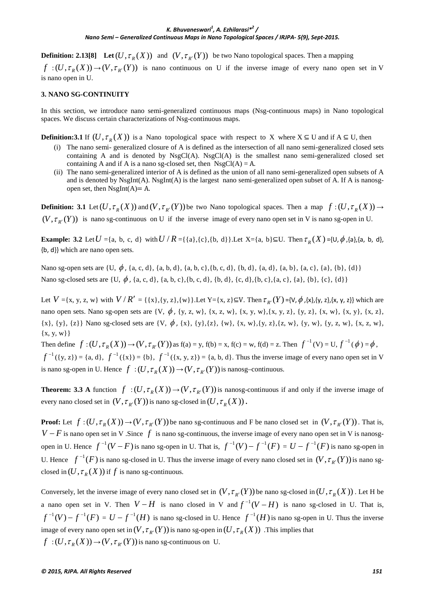**Definition: 2.13[8]** Let  $(U, \tau_R(X))$  and  $(V, \tau_{R'}(Y))$  be two Nano topological spaces. Then a mapping  $f:(U, \tau_{R}(X)) \to (V, \tau_{R'}(Y))$  is nano continuous on U if the inverse image of every nano open set in V is nano open in U.

## **3. NANO SG-CONTINUITY**

In this section, we introduce nano semi-generalized continuous maps (Nsg-continuous maps) in Nano topological spaces. We discuss certain characterizations of Nsg-continuous maps.

**Definition:3.1** If  $(U, \tau_{R}(X))$  is a Nano topological space with respect to X where  $X \subseteq U$  and if  $A \subseteq U$ , then

- (i) The nano semi- generalized closure of A is defined as the intersection of all nano semi-generalized closed sets containing A and is denoted by  $NsgCl(A)$ .  $NsgCl(A)$  is the smallest nano semi-generalized closed set containing A and if A is a nano sg-closed set, then  $NsgCl(A) = A$ .
- (ii) The nano semi-generalized interior of A is defined as the union of all nano semi-generalized open subsets of A and is denoted by NsgInt(A). NsgInt(A) is the largest nano semi-generalized open subset of A. If A is nanosgopen set, then  $NsgInt(A)=A$ .

**Definition: 3.1** Let  $(U, \tau_{R}(X))$  and  $(V, \tau_{R'}(Y))$  be two Nano topological spaces. Then a map  $f:(U, \tau_{R}(X)) \to$  $(V, \tau_{R'}(Y))$  is nano sg-continuous on U if the inverse image of every nano open set in V is nano sg-open in U.

**Example: 3.2** Let  $U = \{a, b, c, d\}$  with  $U / R = \{\{a\}, \{c\}, \{b, d\}\}\$ . Let  $X = \{a, b\} \subseteq U$ . Then  $\tau_R(X) = \{U, \phi, \{a\}, \{a, b, d\}\}$ {b, d}} which are nano open sets.

Nano sg-open sets are  $\{U, \phi, \{a, c, d\}, \{a, b, d\}, \{a, b, c\}, \{b, c, d\}, \{b, d\}, \{a, d\}, \{a, b\}, \{a, c\}, \{a\}, \{b\}, \{d\}\}\$ Nano sg-closed sets are  $\{U, \phi, \{a, c, d\}, \{a, b, c\}, \{b, c, d\}, \{b, d\}, \{c, d\}, \{b, c\}, \{a, c\}, \{a\}, \{b\}, \{c\}, \{d\}\}\$ 

Let  $V = \{x, y, z, w\}$  with  $V/R' = \{\{x\}, \{y, z\}, \{w\}\}\$ . Let  $Y = \{x, z\} \subseteq V$ . Then  $\tau_{p'}(Y) = \{V, \phi, \{x\}, \{y, z\}, \{x, y, z\}\}\$  which are nano open sets. Nano sg-open sets are  $\{V, \phi, \{y, z, w\}, \{x, z, w\}, \{x, y, w\}, \{x, y, z\}, \{y, z\}, \{x, w\}, \{x, y\}, \{x, z\}, \{y, z\}, \{x, w\}, \{x, w\}, \{x, w\}, \{x, w\}, \{x, w\}, \{x, w\}, \{x, w\}, \{x, w\}, \{x, w\}, \{x, w\}, \{x, w\}, \{x, w\}, \{x, w\}, \{x, w\}, \{x, w\$  ${x}$ , {y}, {z}} Nano sg-closed sets are {V,  $\phi$ , {x}, {y}, {z}, {w}, {x, w}, {y, z}, {z, w}, {y, z, w}, {x, z, w},  ${x, y, w}$ 

Then define  $f:(U, \tau_{R}(X)) \to (V, \tau_{R'}(Y))$  as  $f(a) = y$ ,  $f(b) = x$ ,  $f(c) = w$ ,  $f(d) = z$ . Then  $f^{-1}(V) = U$ ,  $f^{-1}(\phi) = \phi$ ,  $f^{-1}(\{y, z\}) = \{a, d\}, f^{-1}(\{x\}) = \{b\}, f^{-1}(\{x, y, z\}) = \{a, b, d\}.$  Thus the inverse image of every nano open set in V is nano sg-open in U. Hence  $f : (U, \tau_R(X)) \to (V, \tau_{R'}(Y))$  is nanosg-continuous.

**Theorem: 3.3** A function  $f : (U, \tau_R(X)) \to (V, \tau_{R'}(Y))$  is nanosg-continuous if and only if the inverse image of every nano closed set in  $(V, \tau_{R'}(Y))$  is nano sg-closed in  $(U, \tau_{R}(X))$ .

**Proof:** Let  $f:(U, \tau_{R}(X)) \to (V, \tau_{R}(Y))$  be nano sg-continuous and F be nano closed set in  $(V, \tau_{R}(Y))$ . That is,  $V - F$  is nano open set in V .Since f is nano sg-continuous, the inverse image of every nano open set in V is nanosgopen in U. Hence  $f^{-1}(V - F)$  is nano sg-open in U. That is,  $f^{-1}(V) - f^{-1}(F) = U - f^{-1}(F)$  is nano sg-open in U. Hence  $f^{-1}(F)$  is nano sg-closed in U. Thus the inverse image of every nano closed set in  $(V, \tau_{R'}(Y))$  is nano sgclosed in  $(U, \tau_R(X))$  if f is nano sg-continuous.

Conversely, let the inverse image of every nano closed set in  $(V, \tau_{R'}(Y))$  be nano sg-closed in  $(U, \tau_{R}(X))$ . Let H be a nano open set in V. Then  $V - H$  is nano closed in V and  $f^{-1}(V - H)$  is nano sg-closed in U. That is,  $f^{-1}(V) - f^{-1}(F) = U - f^{-1}(H)$  is nano sg-closed in U. Hence  $f^{-1}(H)$  is nano sg-open in U. Thus the inverse image of every nano open set in  $(V, \tau_{R'}(Y))$  is nano sg-open in  $(U, \tau_{R}(X))$ . This implies that  $f:(U, \tau_{R}(X)) \to (V, \tau_{R}(Y))$  is nano sg-continuous on U.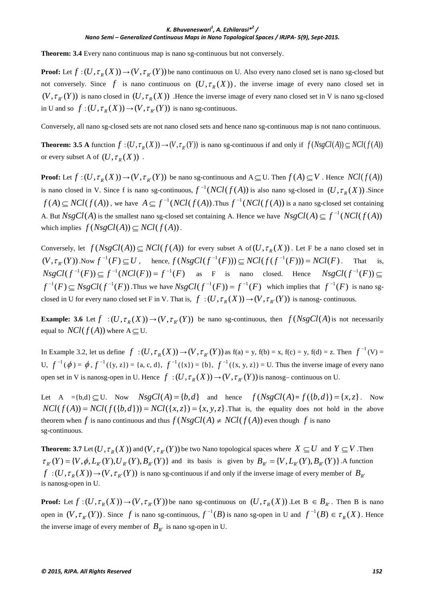**Theorem: 3.4** Every nano continuous map is nano sg-continuous but not conversely.

**Proof:** Let  $f:(U, \tau_R(X)) \to (V, \tau_{R'}(Y))$  be nano continuous on U. Also every nano closed set is nano sg-closed but not conversely. Since f is nano continuous on  $(U, \tau_R(X))$ , the inverse image of every nano closed set in  $(V, \tau_{R'}(Y))$  is nano closed in  $(U, \tau_R(X))$ . Hence the inverse image of every nano closed set in V is nano sg-closed in U and so  $f:(U, \tau_{R}(X)) \rightarrow (V, \tau_{R}(Y))$  is nano sg-continuous.

Conversely, all nano sg-closed sets are not nano closed sets and hence nano sg-continuous map is not nano continuous.

**Theorem: 3.5 A** function  $f:(U, \tau_{R}(X)) \rightarrow (V, \tau_{R}(Y))$  is nano sg-continuous if and only if  $f(NsgCl(A)) \subseteq NCl(f(A))$ or every subset A of  $(U, \tau_R(X))$ .

**Proof:** Let  $f:(U, \tau_{R}(X)) \to (V, \tau_{R}(Y))$  be nano sg-continuous and  $A \subseteq U$ . Then  $f(A) \subseteq V$ . Hence  $NCl(f(A))$ is nano closed in V. Since f is nano sg-continuous,  $f^{-1}(NCl(f(A))$  is also nano sg-closed in  $(U, \tau_R(X))$ . Since  $f(A) \subseteq NCl(f(A))$ , we have  $A \subseteq f^{-1}(NCl(f(A))$ . Thus  $f^{-1}(NCl(f(A))$  is a nano sg-closed set containing A. But  $NsgCl(A)$  is the smallest nano sg-closed set containing A. Hence we have  $NsgCl(A) \subseteq f^{-1}(NCl(f(A)))$ which implies  $f(NsgCl(A)) \subseteq NCl(f(A))$ .

Conversely, let  $f(NsgCl(A)) \subseteq NCl(f(A))$  for every subset A of  $(U, \tau_R(X))$ . Let F be a nano closed set in  $(V, \tau_{R'}(Y))$ . Now  $f^{-1}(F) \subseteq U$ , hence,  $f(NsgCl(f^{-1}(F))) \subseteq NCl(f(f^{-1}(F))) = NCl(F)$ . That is,  $NsgCl(f^{-1}(F)) \subset f^{-1}(NCl(F)) = f^{-1}(F)$  as F is nano closed. Hence  $NsgCl(f^{-1}(F)) \subset$  $f^{-1}(F) \subset NsgCl(f^{-1}(F))$ . Thus we have  $NsgCl(f^{-1}(F)) = f^{-1}(F)$  which implies that  $f^{-1}(F)$  is nano sgclosed in U for every nano closed set F in V. That is,  $f : (U, \tau_R(X)) \to (V, \tau_{R'}(Y))$  is nanosg- continuous.

**Example: 3.6** Let  $f : (U, \tau_R(X)) \to (V, \tau_{R'}(Y))$  be nano sg-continuous, then  $f(NsgCl(A))$  is not necessarily equal to  $NCl(f(A))$  where  $A \subseteq U$ .

In Example 3.2, let us define  $f:(U, \tau_{R}(X)) \rightarrow (V, \tau_{R}(Y))$  as  $f(a) = y$ ,  $f(b) = x$ ,  $f(c) = y$ ,  $f(d) = z$ . Then  $f^{-1}(V) =$ U,  $f^{-1}(\phi) = \phi$ ,  $f^{-1}(\{y, z\}) = \{a, c, d\}$ ,  $f^{-1}(\{x\}) = \{b\}$ ,  $f^{-1}(\{x, y, z\}) = U$ . Thus the inverse image of every nano open set in V is nanosg-open in U. Hence  $f:(U, \tau_{R}(X)) \to (V, \tau_{R}(Y))$  is nanosg- continuous on U.

Let A ={b,d} $\subseteq$  U. Now  $NsgCl(A) = \{b, d\}$  and hence  $f(NsgCl(A) = f(\{b, d\}) = \{x, z\}$ . Now  $NCl(f(A)) = NCl(f(\lbrace b,d \rbrace)) = NCl(\lbrace x,z \rbrace) = \lbrace x, y, z \rbrace$ . That is, the equality does not hold in the above theorem when *f* is nano continuous and thus  $f(NsgCl(A) \neq NCl(f(A))$  even though *f* is nano sg-continuous.

**Theorem: 3.7** Let  $(U, \tau_R(X))$  and  $(V, \tau_{R'}(Y))$  be two Nano topological spaces where  $X \subseteq U$  and  $Y \subseteq V$ . Then  $\tau_{R'}(Y) = \{V, \phi, L_{R'}(Y), U_{R'}(Y), B_{R'}(Y)\}\$ and its basis is given by  $B_{R'} = \{V, L_{R'}(Y), B_{R'}(Y)\}\.$  A function  $f:(U, \tau_{R}(X)) \to (V, \tau_{R'}(Y))$  is nano sg-continuous if and only if the inverse image of every member of  $B_{R'}$ is nanosg-open in U.

**Proof:** Let  $f:(U, \tau_{R}(X)) \to (V, \tau_{R}(Y))$  be nano sg-continuous on  $(U, \tau_{R}(X))$ . Let  $B \in B_{R'}$ . Then B is nano open in  $(V, \tau_{p'}(Y))$ . Since f is nano sg-continuous,  $f^{-1}(B)$  is nano sg-open in U and  $f^{-1}(B) \in \tau_{p}(X)$ . Hence the inverse image of every member of  $B_{R'}$  is nano sg-open in U.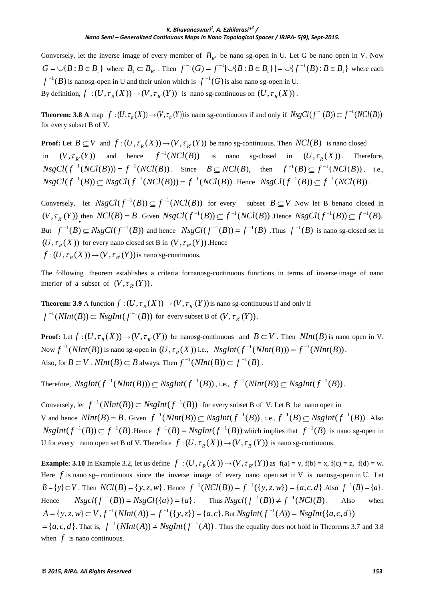Conversely, let the inverse image of every member of  $B_{R'}$  be nano sg-open in U. Let G be nano open in V. Now  ${ }$   ${ }$   $G = \cup \{B : B \in B_1\}$  where  $B_1 \subset B_{R'}$ . Then  $f^{-1}(G) = f^{-1}[\cup \{B : B \in B_1\}] = \cup \{f^{-1}(B) : B \in B_1\}$  $f^{-1}(G) = f^{-1}[\cup \{B : B \in B_1\}] = \cup \{f^{-1}(B) : B \in B_1\}$  where each  $f^{-1}(B)$  is nanosg-open in U and their union which is  $f^{-1}(G)$  is also nano sg-open in U. By definition,  $f : (U, \tau_{R}(X)) \to (V, \tau_{R'}(Y))$  is nano sg-continuous on  $(U, \tau_{R}(X))$ .

**Theorem:** 3.8 A map  $f:(U,\tau_p(X))\to (V,\tau_{p'}(Y))$  is nano sg-continuous if and only if  $NsgCl(f^{-1}(B)) \subseteq f^{-1}(NCl(B))$ for every subset B of V.

**Proof:** Let  $B \subseteq V$  and  $f : (U, \tau_{R}(X)) \to (V, \tau_{R}(Y))$  be nano sg-continuous. Then  $NCl(B)$  is nano closed  $(V, \tau_{R'}(Y))$  and hence  $f^{-1}(NCl(B))$  is nano sg-closed in  $(U, \tau_R(X))$ . Therefore,  $NsgCl(f^{-1}(NCI(B))) = f^{-1}(NCI(B))$ . Since  $B \subseteq NCI(B)$ , then  $f^{-1}(B) \subseteq f^{-1}(NCI(B))$ , i.e.,  $NsgCl(f^{-1}(B)) \subset NsgCl(f^{-1}(NCl(B))) = f^{-1}(NCl(B))$ . Hence  $NsgCl(f^{-1}(B)) \subset f^{-1}(NCl(B))$ .

Conversely, let  $NsgCl(f^{-1}(B)) \subseteq f^{-1}(NCl(B))$  for every subset  $B \subseteq V$ . Now let B benano closed in  $(V, \tau_{R'}(Y))$ , then  $NCl(B) = B$ . Given  $NsgCl(f^{-1}(B)) \subseteq f^{-1}(NCl(B))$ . Hence  $NsgCl(f^{-1}(B)) \subseteq f^{-1}(B)$ . But  $f^{-1}(B) \subseteq NsgCl(f^{-1}(B))$  and hence  $NsgCl(f^{-1}(B)) = f^{-1}(B)$ . Thus  $f^{-1}(B)$  is nano sg-closed set in  $(U, \tau_{R}(X))$  for every nano closed set B in  $(V, \tau_{R}(Y))$ . Hence  $f:(U, \tau_{R}(X)) \to (V, \tau_{R'}(Y))$  *is nano sg-continuous.* 

The following theorem establishes a criteria fornanosg-continuous functions in terms of inverse image of nano interior of a subset of  $(V, \tau_{R'}(Y))$ .

**Theorem: 3.9** A function  $f:(U, \tau_{R}(X)) \to (V, \tau_{R}(Y))$  is nano sg-continuous if and only if  $f^{-1}(NInt(B)) \subset NsgInt(f^{-1}(B))$  for every subset B of  $(V, \tau_{p'}(Y))$ .

**Proof:** Let  $f:(U, \tau_{R}(X)) \to (V, \tau_{R}(Y))$  be nanosg-continuous and  $B \subseteq V$ . Then  $NInt(B)$  is nano open in V. Now  $f^{-1}(NInt(B))$  is nano sg-open in  $(U, \tau_{R}(X))$  i.e.,  $NsgInt(f^{-1}(NInt(B))) = f^{-1}(NInt(B)).$ Also, for  $B \subseteq V$ ,  $NInt(B) \subseteq B$  always. Then  $f^{-1}(NInt(B)) \subset f^{-1}(B)$ .

Therefore,  $NsgInt(f^{-1}(NInt(B))) \subset NsgInt(f^{-1}(B))$ , i.e.,  $f^{-1}(NInt(B)) \subset NsgInt(f^{-1}(B))$ .

Conversely, let  $f^{-1}(NInt(B)) \subset NsgInt(f^{-1}(B))$  for every subset B of V. Let B be nano open in *V* and hence  $NInt(B) = B$ . Given  $f^{-1}(NInt(B)) \subset NsgInt(f^{-1}(B))$ , i.e.,  $f^{-1}(B) \subset NsgInt(f^{-1}(B))$ . Also  $NsgInt(f^{-1}(B)) \subset f^{-1}(B)$ . Hence  $f^{-1}(B) = NsgInt(f^{-1}(B))$  which implies that  $f^{-1}(B)$  is nano sg-open in U for every nano open set B of V. Therefore  $f:(U, \tau_{R}(X)) \to (V, \tau_{R}(Y))$  is nano sg-continuous.

**Example:** 3.10 In Example 3.2, let us define  $f : (U, \tau_R(X)) \to (V, \tau_{R'}(Y))$  as  $f(a) = y$ ,  $f(b) = x$ ,  $f(c) = z$ ,  $f(d) = w$ . Here *f* is nano sg– continuous since the inverse image of every nano open set in V is nanosg-open in U. Let  $B = \{y\} \subset V$ . Then  $NCI(B) = \{y, z, w\}$ . Hence  $f^{-1}(NCI(B)) = f^{-1}(\{y, z, w\}) = \{a, c, d\}$ . Also  $f^{-1}(B) = \{a\}$ . Hence  $Nsgcl(f^{-1}(B)) = NsgCl({a}) = {a}$ . Thus  $Nsgcl(f^{-1}(B)) \neq f^{-1}(NCl(B))$ . Also when  $A = \{y, z, w\} \subset V, f^{-1}(NInt(A)) = f^{-1}(\{y, z\}) = \{a, c\}.$  But  $NsgInt(f^{-1}(A)) = NsgInt(\{a, c, d\})$  $= \{a,c,d\}$ . That is,  $f^{-1}(NInt(A)) \neq NsgInt(f^{-1}(A))$ . Thus the equality does not hold in Theorems 3.7 and 3.8 when  $f$  is nano continuous.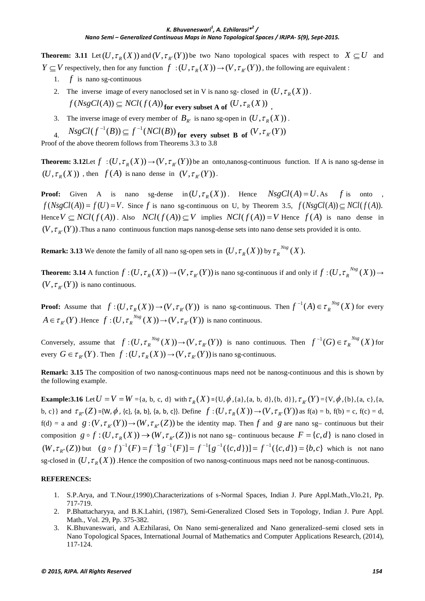**Theorem: 3.11** Let  $(U, \tau_R(X))$  and  $(V, \tau_{R'}(Y))$  be two Nano topological spaces with respect to  $X \subseteq U$  and *Y*  $\subseteq$  *V* respectively, then for any function  $f:(U, \tau_{R}(X)) \rightarrow (V, \tau_{R'}(Y))$ , the following are equivalent :

- 1.  $f$  is nano sg-continuous
- 2. The inverse image of every nanoclosed set in V is nano sg- closed in  $(U, \tau_{p}(X))$ .  $f(NsgCl(A)) \subseteq NCl(f(A))$  for every subset A of  $(U, \tau_R(X))$ .
- 3. The inverse image of every member of  $B_{R'}$  is nano sg-open in  $(U, \tau_R(X))$ .
- $NsgCl(f^{-1}(B)) \subseteq f^{-1}(NCl(B))$  for every subset B of  $(V, \tau_{R'}(Y))$

Proof of the above theorem follows from Theorems 3.3 to 3.8

**Theorem: 3.12**Let  $f : (U, \tau_R(X)) \to (V, \tau_{R'}(Y))$  be an onto,nanosg-continuous function. If A is nano sg-dense in  $(U, \tau_{R}(X))$ , then  $f(A)$  is nano dense in  $(V, \tau_{R}(Y))$ .

**Proof:** Given A is nano sg-dense in  $(U, \tau_R(X))$ . Hence  $NsgCl(A) = U.A$ s f is onto ,  $f(NsgCl(A)) = f(U) = V$ . Since *f* is nano sg-continuous on U, by Theorem 3.5,  $f(NsgCl(A)) \subset NCl(f(A))$ . Hence  $V \subseteq NCl(f(A))$ . Also  $NCl(f(A)) \subseteq V$  implies  $NCl(f(A)) = V$  Hence  $f(A)$  is nano dense in  $(V, \tau_{R'}(Y))$ . Thus a nano continuous function maps nanosg-dense sets into nano dense sets provided it is onto.

**Remark: 3.13** We denote the family of all nano sg-open sets in  $(U, \tau_R(X))$  by  $\tau_R^{-Nsg}(X)$ .

**Theorem: 3.14** A function  $f:(U, \tau_R(X)) \to (V, \tau_{R'}(Y))$  is nano sg-continuous if and only if  $f:(U, \tau_R^{-Nsg}(X)) \to$  $(V, \tau_{R'}(Y))$  is nano continuous.

**Proof:** Assume that  $f:(U, \tau_R(X)) \to (V, \tau_{R'}(Y))$  is nano sg-continuous. Then  $f^{-1}(A) \in \tau_R^{Nsg}(X)$  for every  $A \in \tau_{R'}(Y)$ .Hence  $f : (U, \tau_R^{-Nsg}(X)) \to (V, \tau_{R'}(Y))$  is nano continuous.

Conversely, assume that  $f:(U, \tau_R^{Nsg}(X)) \to (V, \tau_{R'}(Y))$  is nano continuous. Then  $f^{-1}(G) \in \tau_R^{Nsg}(X)$  for every  $G \in \tau_{R'}(Y)$ . Then  $f : (U, \tau_R(X)) \to (V, \tau_{R'}(Y))$  is nano sg-continuous.

**Remark: 3.15** The composition of two nanosg-continuous maps need not be nanosg-continuous and this is shown by the following example.

**Example:3.16** Let  $U = V = W = \{a, b, c, d\}$  with  $\tau_R(X) = \{U, \phi, \{a\}, \{a, b, d\}\}, \tau_{R'}(Y) = \{V, \phi, \{b\}, \{a, c\}, \{a, d\}\}$ b, c}} and  $\tau_{R'}(Z) = \{W, \phi, \{c\}, \{a, b\}, \{a, b, c\}\}\$ . Define  $f : (U, \tau_R(X)) \to (V, \tau_{R'}(Y))$  as  $f(a) = b$ ,  $f(b) = c$ ,  $f(c) = d$ ,  $f(d) = a$  and  $g: (V, \tau_{R'}(Y)) \to (W, \tau_{R''}(Z))$  be the identity map. Then f and g are nano sg- continuous but their composition  $g \circ f : (U, \tau_{R}(X)) \to (W, \tau_{R^{r}}(Z))$  is not nano sg– continuous because  $F = \{c, d\}$  is nano closed in  $(W, \tau_{R''}(Z))$  but  $(g \circ f)^{-1}(F) = f^{-1}[g^{-1}(F)] = f^{-1}[g^{-1}(\{c,d\})] = f^{-1}(\{c,d\}) = \{b,c\}$  which is not nano sg-closed in  $(U, \tau_R(X))$ . Hence the composition of two nanosg-continuous maps need not be nanosg-continuous.

#### **REFERENCES:**

- 1. S.P.Arya, and T.Nour,(1990),Characterizations of s-Normal Spaces, Indian J. Pure Appl.Math.,Vlo.21, Pp. 717-719.
- 2. P.Bhattacharyya, and B.K.Lahiri, (1987), Semi-Generalized Closed Sets in Topology, Indian J. Pure Appl. Math., Vol. 29, Pp. 375-382.
- 3. K.Bhuvaneswari, and A.Ezhilarasi, On Nano semi-generalized and Nano generalized–semi closed sets in Nano Topological Spaces, International Journal of Mathematics and Computer Applications Research, (2014), 117-124.